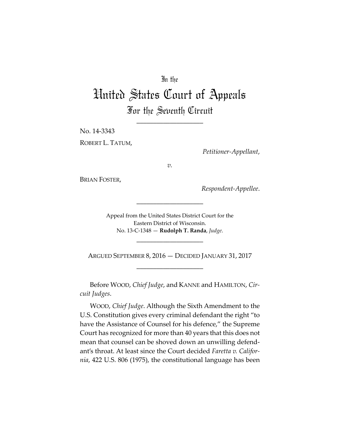## In the

## United States Court of Appeals For the Seventh Circuit

\_\_\_\_\_\_\_\_\_\_\_\_\_\_\_\_\_\_\_\_

No. 14-3343 ROBERT L. TATUM,

*Petitioner-Appellant*,

*v.*

BRIAN FOSTER,

*Respondent-Appellee*.

Appeal from the United States District Court for the Eastern District of Wisconsin. No. 13-C-1348 — **Rudolph T. Randa**, *Judge*.

\_\_\_\_\_\_\_\_\_\_\_\_\_\_\_\_\_\_\_\_

\_\_\_\_\_\_\_\_\_\_\_\_\_\_\_\_\_\_\_\_

ARGUED SEPTEMBER 8, 2016 — DECIDED JANUARY 31, 2017 \_\_\_\_\_\_\_\_\_\_\_\_\_\_\_\_\_\_\_\_

Before WOOD, *Chief Judge*, and KANNE and HAMILTON, *Circuit Judges*.

WOOD, *Chief Judge*. Although the Sixth Amendment to the U.S. Constitution gives every criminal defendant the right "to have the Assistance of Counsel for his defence," the Supreme Court has recognized for more than 40 years that this does not mean that counsel can be shoved down an unwilling defendant's throat. At least since the Court decided *Faretta v. California*, 422 U.S. 806 (1975), the constitutional language has been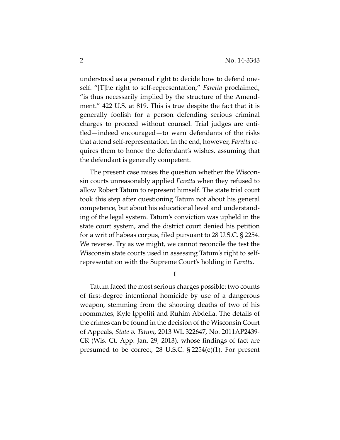understood as a personal right to decide how to defend oneself. "[T]he right to self-representation," *Faretta* proclaimed, "is thus necessarily implied by the structure of the Amendment." 422 U.S. at 819. This is true despite the fact that it is generally foolish for a person defending serious criminal charges to proceed without counsel. Trial judges are entitled—indeed encouraged—to warn defendants of the risks that attend self-representation. In the end, however, *Faretta* requires them to honor the defendant's wishes, assuming that the defendant is generally competent.

The present case raises the question whether the Wisconsin courts unreasonably applied *Faretta* when they refused to allow Robert Tatum to represent himself. The state trial court took this step after questioning Tatum not about his general competence, but about his educational level and understanding of the legal system. Tatum's conviction was upheld in the state court system, and the district court denied his petition for a writ of habeas corpus, filed pursuant to 28 U.S.C. § 2254. We reverse. Try as we might, we cannot reconcile the test the Wisconsin state courts used in assessing Tatum's right to selfrepresentation with the Supreme Court's holding in *Faretta*.

**I**

Tatum faced the most serious charges possible: two counts of first-degree intentional homicide by use of a dangerous weapon, stemming from the shooting deaths of two of his roommates, Kyle Ippoliti and Ruhim Abdella. The details of the crimes can be found in the decision of the Wisconsin Court of Appeals, *State v. Tatum,* 2013 WL 322647, No. 2011AP2439- CR (Wis. Ct. App. Jan. 29, 2013), whose findings of fact are presumed to be correct, 28 U.S.C. § 2254(e)(1). For present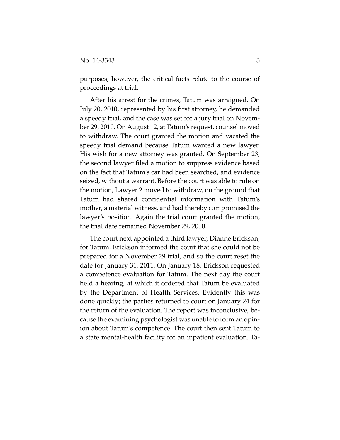purposes, however, the critical facts relate to the course of proceedings at trial.

After his arrest for the crimes, Tatum was arraigned. On July 20, 2010, represented by his first attorney, he demanded a speedy trial, and the case was set for a jury trial on November 29, 2010. On August 12, at Tatum's request, counsel moved to withdraw. The court granted the motion and vacated the speedy trial demand because Tatum wanted a new lawyer. His wish for a new attorney was granted. On September 23, the second lawyer filed a motion to suppress evidence based on the fact that Tatum's car had been searched, and evidence seized, without a warrant. Before the court was able to rule on the motion, Lawyer 2 moved to withdraw, on the ground that Tatum had shared confidential information with Tatum's mother, a material witness, and had thereby compromised the lawyer's position. Again the trial court granted the motion; the trial date remained November 29, 2010.

The court next appointed a third lawyer, Dianne Erickson, for Tatum. Erickson informed the court that she could not be prepared for a November 29 trial, and so the court reset the date for January 31, 2011. On January 18, Erickson requested a competence evaluation for Tatum. The next day the court held a hearing, at which it ordered that Tatum be evaluated by the Department of Health Services. Evidently this was done quickly; the parties returned to court on January 24 for the return of the evaluation. The report was inconclusive, because the examining psychologist was unable to form an opinion about Tatum's competence. The court then sent Tatum to a state mental-health facility for an inpatient evaluation. Ta-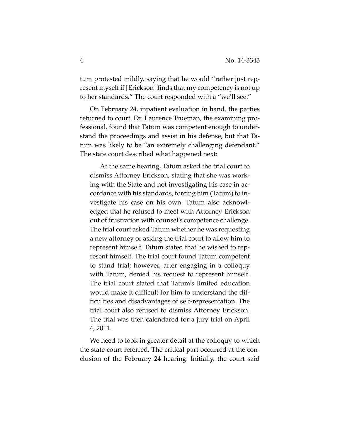tum protested mildly, saying that he would "rather just represent myself if [Erickson] finds that my competency is not up to her standards." The court responded with a "we'll see."

On February 24, inpatient evaluation in hand, the parties returned to court. Dr. Laurence Trueman, the examining professional, found that Tatum was competent enough to understand the proceedings and assist in his defense, but that Tatum was likely to be "an extremely challenging defendant." The state court described what happened next:

At the same hearing, Tatum asked the trial court to dismiss Attorney Erickson, stating that she was working with the State and not investigating his case in accordance with his standards, forcing him (Tatum) to investigate his case on his own. Tatum also acknowledged that he refused to meet with Attorney Erickson out of frustration with counsel's competence challenge. The trial court asked Tatum whether he was requesting a new attorney or asking the trial court to allow him to represent himself. Tatum stated that he wished to represent himself. The trial court found Tatum competent to stand trial; however, after engaging in a colloquy with Tatum, denied his request to represent himself. The trial court stated that Tatum's limited education would make it difficult for him to understand the difficulties and disadvantages of self-representation. The trial court also refused to dismiss Attorney Erickson. The trial was then calendared for a jury trial on April 4, 2011.

We need to look in greater detail at the colloquy to which the state court referred. The critical part occurred at the conclusion of the February 24 hearing. Initially, the court said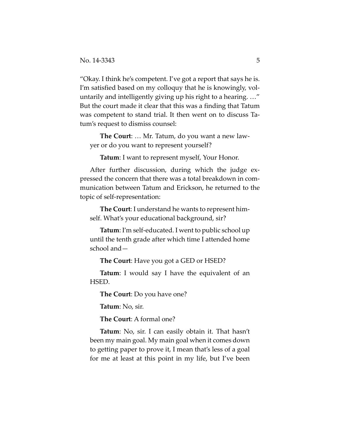"Okay. I think he's competent. I've got a report that says he is. I'm satisfied based on my colloquy that he is knowingly, voluntarily and intelligently giving up his right to a hearing. …" But the court made it clear that this was a finding that Tatum was competent to stand trial. It then went on to discuss Tatum's request to dismiss counsel:

**The Court**: … Mr. Tatum, do you want a new lawyer or do you want to represent yourself?

**Tatum**: I want to represent myself, Your Honor.

After further discussion, during which the judge expressed the concern that there was a total breakdown in communication between Tatum and Erickson, he returned to the topic of self-representation:

**The Court**: I understand he wants to represent himself. What's your educational background, sir?

**Tatum**: I'm self-educated. I went to public school up until the tenth grade after which time I attended home school and—

**The Court**: Have you got a GED or HSED?

**Tatum**: I would say I have the equivalent of an HSED.

**The Court**: Do you have one?

**Tatum**: No, sir.

**The Court**: A formal one?

**Tatum**: No, sir. I can easily obtain it. That hasn't been my main goal. My main goal when it comes down to getting paper to prove it, I mean that's less of a goal for me at least at this point in my life, but I've been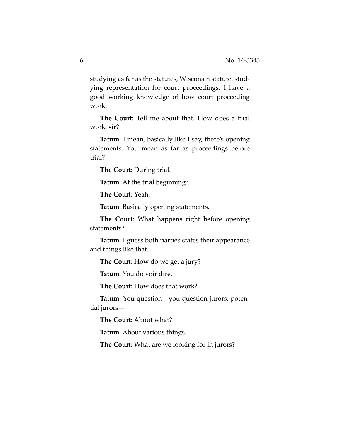studying as far as the statutes, Wisconsin statute, studying representation for court proceedings. I have a good working knowledge of how court proceeding work.

**The Court**: Tell me about that. How does a trial work, sir?

**Tatum**: I mean, basically like I say, there's opening statements. You mean as far as proceedings before trial?

**The Court**: During trial.

**Tatum**: At the trial beginning?

**The Court**: Yeah.

**Tatum**: Basically opening statements.

**The Court**: What happens right before opening statements?

**Tatum**: I guess both parties states their appearance and things like that.

**The Court**: How do we get a jury?

**Tatum**: You do voir dire.

**The Court**: How does that work?

**Tatum**: You question—you question jurors, potential jurors—

**The Court**: About what?

**Tatum**: About various things.

**The Court**: What are we looking for in jurors?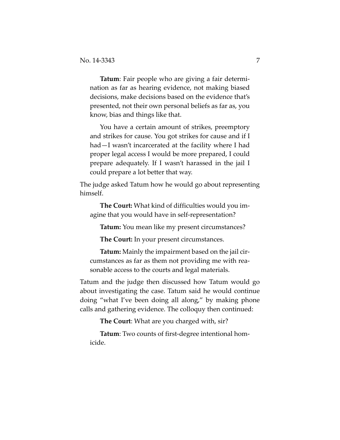**Tatum**: Fair people who are giving a fair determination as far as hearing evidence, not making biased decisions, make decisions based on the evidence that's presented, not their own personal beliefs as far as, you know, bias and things like that.

You have a certain amount of strikes, preemptory and strikes for cause. You got strikes for cause and if I had—I wasn't incarcerated at the facility where I had proper legal access I would be more prepared, I could prepare adequately. If I wasn't harassed in the jail I could prepare a lot better that way.

The judge asked Tatum how he would go about representing himself.

**The Court:** What kind of difficulties would you imagine that you would have in self-representation?

**Tatum:** You mean like my present circumstances?

**The Court:** In your present circumstances.

**Tatum:** Mainly the impairment based on the jail circumstances as far as them not providing me with reasonable access to the courts and legal materials.

Tatum and the judge then discussed how Tatum would go about investigating the case. Tatum said he would continue doing "what I've been doing all along," by making phone calls and gathering evidence. The colloquy then continued:

**The Court**: What are you charged with, sir?

**Tatum**: Two counts of first-degree intentional homicide.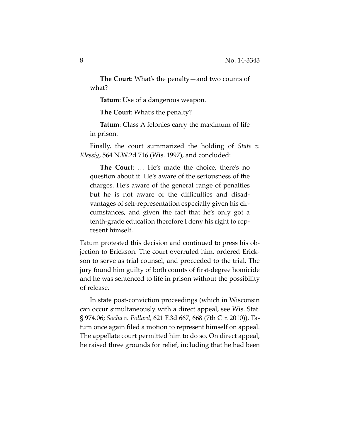**The Court**: What's the penalty—and two counts of what?

**Tatum**: Use of a dangerous weapon.

**The Court**: What's the penalty?

**Tatum**: Class A felonies carry the maximum of life in prison.

Finally, the court summarized the holding of *State v. Klessig*, 564 N.W.2d 716 (Wis. 1997), and concluded:

**The Court**: … He's made the choice, there's no question about it. He's aware of the seriousness of the charges. He's aware of the general range of penalties but he is not aware of the difficulties and disadvantages of self-representation especially given his circumstances, and given the fact that he's only got a tenth-grade education therefore I deny his right to represent himself.

Tatum protested this decision and continued to press his objection to Erickson. The court overruled him, ordered Erickson to serve as trial counsel, and proceeded to the trial. The jury found him guilty of both counts of first-degree homicide and he was sentenced to life in prison without the possibility of release.

In state post-conviction proceedings (which in Wisconsin can occur simultaneously with a direct appeal, see Wis. Stat. § 974.06; *Socha v. Pollard*, 621 F.3d 667, 668 (7th Cir. 2010)), Tatum once again filed a motion to represent himself on appeal. The appellate court permitted him to do so. On direct appeal, he raised three grounds for relief, including that he had been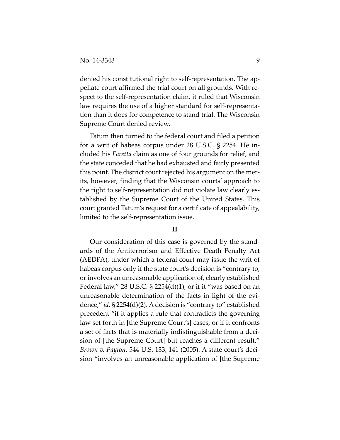denied his constitutional right to self-representation. The appellate court affirmed the trial court on all grounds. With respect to the self-representation claim, it ruled that Wisconsin law requires the use of a higher standard for self-representation than it does for competence to stand trial. The Wisconsin Supreme Court denied review.

Tatum then turned to the federal court and filed a petition for a writ of habeas corpus under 28 U.S.C. § 2254. He included his *Faretta* claim as one of four grounds for relief, and the state conceded that he had exhausted and fairly presented this point. The district court rejected his argument on the merits, however, finding that the Wisconsin courts' approach to the right to self-representation did not violate law clearly established by the Supreme Court of the United States. This court granted Tatum's request for a certificate of appealability, limited to the self-representation issue.

## **II**

Our consideration of this case is governed by the standards of the Antiterrorism and Effective Death Penalty Act (AEDPA), under which a federal court may issue the writ of habeas corpus only if the state court's decision is "contrary to, or involves an unreasonable application of, clearly established Federal law," 28 U.S.C.  $\S$  2254(d)(1), or if it "was based on an unreasonable determination of the facts in light of the evidence," *id.* § 2254(d)(2). A decision is "contrary to" established precedent "if it applies a rule that contradicts the governing law set forth in [the Supreme Court's] cases, or if it confronts a set of facts that is materially indistinguishable from a decision of [the Supreme Court] but reaches a different result." *Brown v. Payton*, 544 U.S. 133, 141 (2005). A state court's decision "involves an unreasonable application of [the Supreme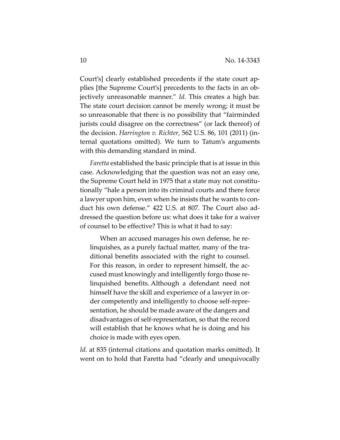Court's] clearly established precedents if the state court applies [the Supreme Court's] precedents to the facts in an objectively unreasonable manner." *Id.* This creates a high bar. The state court decision cannot be merely wrong; it must be so unreasonable that there is no possibility that "fairminded jurists could disagree on the correctness" (or lack thereof) of the decision. *Harrington v. Richter*, 562 U.S. 86, 101 (2011) (internal quotations omitted). We turn to Tatum's arguments with this demanding standard in mind.

*Faretta* established the basic principle that is at issue in this case. Acknowledging that the question was not an easy one, the Supreme Court held in 1975 that a state may not constitutionally "hale a person into its criminal courts and there force a lawyer upon him, even when he insists that he wants to conduct his own defense." 422 U.S. at 807. The Court also addressed the question before us: what does it take for a waiver of counsel to be effective? This is what it had to say:

When an accused manages his own defense, he relinquishes, as a purely factual matter, many of the traditional benefits associated with the right to counsel. For this reason, in order to represent himself, the accused must knowingly and intelligently forgo those relinquished benefits. Although a defendant need not himself have the skill and experience of a lawyer in order competently and intelligently to choose self-representation, he should be made aware of the dangers and disadvantages of self-representation, so that the record will establish that he knows what he is doing and his choice is made with eyes open.

*Id*. at 835 (internal citations and quotation marks omitted). It went on to hold that Faretta had "clearly and unequivocally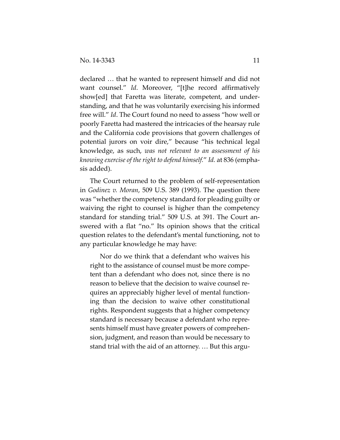declared … that he wanted to represent himself and did not want counsel." *Id*. Moreover, "[t]he record affirmatively show[ed] that Faretta was literate, competent, and understanding, and that he was voluntarily exercising his informed free will." *Id*. The Court found no need to assess "how well or poorly Faretta had mastered the intricacies of the hearsay rule and the California code provisions that govern challenges of potential jurors on voir dire," because "his technical legal knowledge, as such, *was not relevant to an assessment of his knowing exercise of the right to defend himself.*" *Id.* at 836 (emphasis added).

The Court returned to the problem of self-representation in *Godinez v. Moran*, 509 U.S. 389 (1993). The question there was "whether the competency standard for pleading guilty or waiving the right to counsel is higher than the competency standard for standing trial." 509 U.S. at 391. The Court answered with a flat "no." Its opinion shows that the critical question relates to the defendant's mental functioning, not to any particular knowledge he may have:

Nor do we think that a defendant who waives his right to the assistance of counsel must be more competent than a defendant who does not, since there is no reason to believe that the decision to waive counsel requires an appreciably higher level of mental functioning than the decision to waive other constitutional rights. Respondent suggests that a higher competency standard is necessary because a defendant who represents himself must have greater powers of comprehension, judgment, and reason than would be necessary to stand trial with the aid of an attorney. … But this argu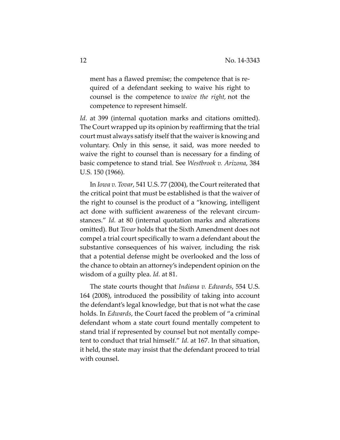ment has a flawed premise; the competence that is required of a defendant seeking to waive his right to counsel is the competence to *waive the right,* not the competence to represent himself.

*Id*. at 399 (internal quotation marks and citations omitted). The Court wrapped up its opinion by reaffirming that the trial court must always satisfy itself that the waiver is knowing and voluntary. Only in this sense, it said, was more needed to waive the right to counsel than is necessary for a finding of basic competence to stand trial. See *Westbrook v. Arizona*, 384 U.S. 150 (1966).

In *Iowa v. Tovar*, 541 U.S. 77 (2004), the Court reiterated that the critical point that must be established is that the waiver of the right to counsel is the product of a "knowing, intelligent act done with sufficient awareness of the relevant circumstances." *Id.* at 80 (internal quotation marks and alterations omitted). But *Tovar* holds that the Sixth Amendment does not compel a trial court specifically to warn a defendant about the substantive consequences of his waiver, including the risk that a potential defense might be overlooked and the loss of the chance to obtain an attorney's independent opinion on the wisdom of a guilty plea. *Id.* at 81.

The state courts thought that *Indiana v. Edwards*, 554 U.S. 164 (2008), introduced the possibility of taking into account the defendant's legal knowledge, but that is not what the case holds. In *Edwards*, the Court faced the problem of "a criminal defendant whom a state court found mentally competent to stand trial if represented by counsel but not mentally competent to conduct that trial himself." *Id.* at 167. In that situation, it held, the state may insist that the defendant proceed to trial with counsel.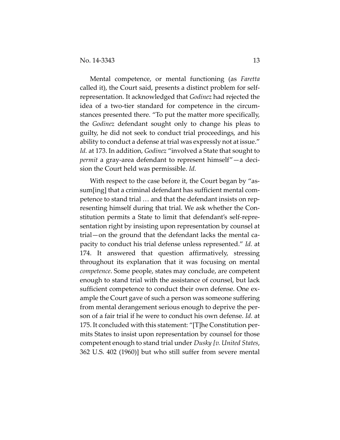Mental competence, or mental functioning (as *Faretta*  called it), the Court said, presents a distinct problem for selfrepresentation. It acknowledged that *Godinez* had rejected the idea of a two-tier standard for competence in the circumstances presented there. "To put the matter more specifically, the *Godinez* defendant sought only to change his pleas to guilty, he did not seek to conduct trial proceedings, and his ability to conduct a defense at trial was expressly not at issue." *Id.* at 173. In addition, *Godinez* "involved a State that sought to *permit* a gray-area defendant to represent himself"—a decision the Court held was permissible. *Id.*

With respect to the case before it, the Court began by "assum[ing] that a criminal defendant has sufficient mental competence to stand trial … and that the defendant insists on representing himself during that trial. We ask whether the Constitution permits a State to limit that defendant's self-representation right by insisting upon representation by counsel at trial—on the ground that the defendant lacks the mental capacity to conduct his trial defense unless represented." *Id.* at 174. It answered that question affirmatively, stressing throughout its explanation that it was focusing on mental *competence*. Some people, states may conclude, are competent enough to stand trial with the assistance of counsel, but lack sufficient competence to conduct their own defense. One example the Court gave of such a person was someone suffering from mental derangement serious enough to deprive the person of a fair trial if he were to conduct his own defense. *Id.* at 175. It concluded with this statement: "[T]he Constitution permits States to insist upon representation by counsel for those competent enough to stand trial under *Dusky [v. United States*, 362 U.S. 402 (1960)] but who still suffer from severe mental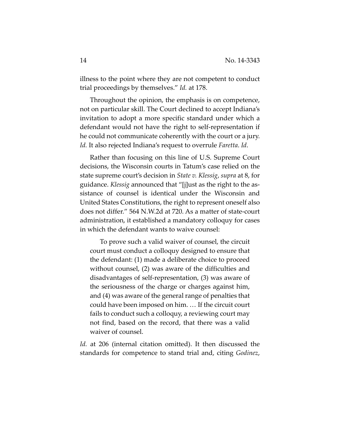illness to the point where they are not competent to conduct trial proceedings by themselves." *Id.* at 178.

Throughout the opinion, the emphasis is on competence, not on particular skill. The Court declined to accept Indiana's invitation to adopt a more specific standard under which a defendant would not have the right to self-representation if he could not communicate coherently with the court or a jury. *Id.* It also rejected Indiana's request to overrule *Faretta*. *Id*.

Rather than focusing on this line of U.S. Supreme Court decisions, the Wisconsin courts in Tatum's case relied on the state supreme court's decision in *State v. Klessig*, *supra* at 8, for guidance. *Klessig* announced that "[j]ust as the right to the assistance of counsel is identical under the Wisconsin and United States Constitutions, the right to represent oneself also does not differ." 564 N.W.2d at 720. As a matter of state-court administration, it established a mandatory colloquy for cases in which the defendant wants to waive counsel:

To prove such a valid waiver of counsel, the circuit court must conduct a colloquy designed to ensure that the defendant: (1) made a deliberate choice to proceed without counsel, (2) was aware of the difficulties and disadvantages of self-representation, (3) was aware of the seriousness of the charge or charges against him, and (4) was aware of the general range of penalties that could have been imposed on him. … If the circuit court fails to conduct such a colloquy, a reviewing court may not find, based on the record, that there was a valid waiver of counsel.

*Id.* at 206 (internal citation omitted). It then discussed the standards for competence to stand trial and, citing *Godinez*,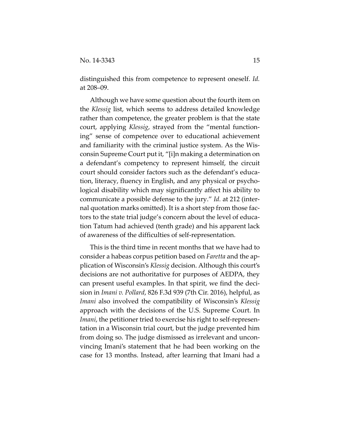distinguished this from competence to represent oneself. *Id.* at 208–09.

Although we have some question about the fourth item on the *Klessig* list, which seems to address detailed knowledge rather than competence, the greater problem is that the state court, applying *Klessig*, strayed from the "mental functioning" sense of competence over to educational achievement and familiarity with the criminal justice system. As the Wisconsin Supreme Court put it, "[i]n making a determination on a defendant's competency to represent himself, the circuit court should consider factors such as the defendant's education, literacy, fluency in English, and any physical or psychological disability which may significantly affect his ability to communicate a possible defense to the jury." *Id.* at 212 (internal quotation marks omitted). It is a short step from those factors to the state trial judge's concern about the level of education Tatum had achieved (tenth grade) and his apparent lack of awareness of the difficulties of self-representation.

This is the third time in recent months that we have had to consider a habeas corpus petition based on *Faretta* and the application of Wisconsin's *Klessig* decision. Although this court's decisions are not authoritative for purposes of AEDPA, they can present useful examples. In that spirit, we find the decision in *Imani v. Pollard*, 826 F.3d 939 (7th Cir. 2016), helpful, as *Imani* also involved the compatibility of Wisconsin's *Klessig*  approach with the decisions of the U.S. Supreme Court. In *Imani*, the petitioner tried to exercise his right to self-representation in a Wisconsin trial court, but the judge prevented him from doing so. The judge dismissed as irrelevant and unconvincing Imani's statement that he had been working on the case for 13 months. Instead, after learning that Imani had a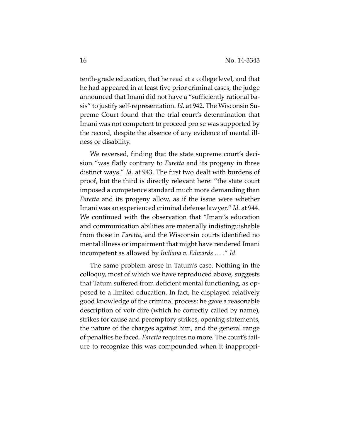tenth-grade education, that he read at a college level, and that he had appeared in at least five prior criminal cases, the judge announced that Imani did not have a "sufficiently rational basis" to justify self-representation. *Id.* at 942. The Wisconsin Supreme Court found that the trial court's determination that Imani was not competent to proceed pro se was supported by the record, despite the absence of any evidence of mental illness or disability.

We reversed, finding that the state supreme court's decision "was flatly contrary to *Faretta* and its progeny in three distinct ways." *Id.* at 943. The first two dealt with burdens of proof, but the third is directly relevant here: "the state court imposed a competence standard much more demanding than *Faretta* and its progeny allow, as if the issue were whether Imani was an experienced criminal defense lawyer." *Id.* at 944. We continued with the observation that "Imani's education and communication abilities are materially indistinguishable from those in *Faretta*, and the Wisconsin courts identified no mental illness or impairment that might have rendered Imani incompetent as allowed by *Indiana v. Edwards* … ." *Id.*

The same problem arose in Tatum's case. Nothing in the colloquy, most of which we have reproduced above, suggests that Tatum suffered from deficient mental functioning, as opposed to a limited education. In fact, he displayed relatively good knowledge of the criminal process: he gave a reasonable description of voir dire (which he correctly called by name), strikes for cause and peremptory strikes, opening statements, the nature of the charges against him, and the general range of penalties he faced. *Faretta* requires no more. The court's failure to recognize this was compounded when it inappropri-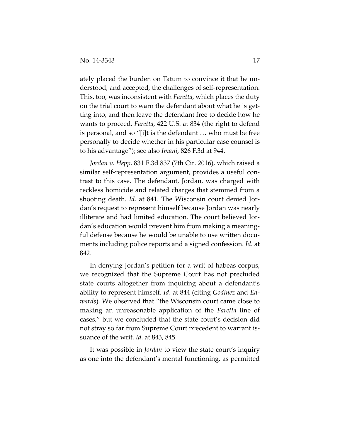ately placed the burden on Tatum to convince it that he understood, and accepted, the challenges of self-representation. This, too, was inconsistent with *Faretta*, which places the duty on the trial court to warn the defendant about what he is getting into, and then leave the defendant free to decide how he wants to proceed. *Faretta*, 422 U.S. at 834 (the right to defend is personal, and so "[i]t is the defendant … who must be free personally to decide whether in his particular case counsel is to his advantage"); see also *Imani*, 826 F.3d at 944.

*Jordan v. Hepp*, 831 F.3d 837 (7th Cir. 2016), which raised a similar self-representation argument, provides a useful contrast to this case. The defendant, Jordan, was charged with reckless homicide and related charges that stemmed from a shooting death. *Id*. at 841. The Wisconsin court denied Jordan's request to represent himself because Jordan was nearly illiterate and had limited education. The court believed Jordan's education would prevent him from making a meaningful defense because he would be unable to use written documents including police reports and a signed confession. *Id*. at 842.

In denying Jordan's petition for a writ of habeas corpus, we recognized that the Supreme Court has not precluded state courts altogether from inquiring about a defendant's ability to represent himself. *Id*. at 844 (citing *Godinez* and *Edwards*). We observed that "the Wisconsin court came close to making an unreasonable application of the *Faretta* line of cases," but we concluded that the state court's decision did not stray so far from Supreme Court precedent to warrant issuance of the writ. *Id*. at 843, 845.

It was possible in *Jordan* to view the state court's inquiry as one into the defendant's mental functioning, as permitted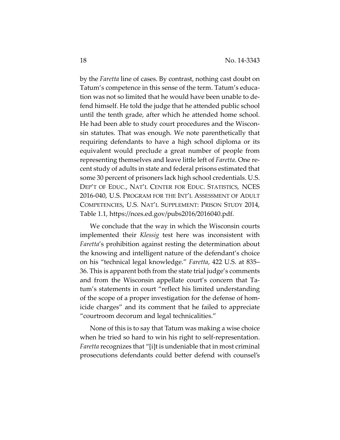by the *Faretta* line of cases. By contrast, nothing cast doubt on Tatum's competence in this sense of the term. Tatum's education was not so limited that he would have been unable to defend himself. He told the judge that he attended public school until the tenth grade, after which he attended home school. He had been able to study court procedures and the Wisconsin statutes. That was enough. We note parenthetically that requiring defendants to have a high school diploma or its equivalent would preclude a great number of people from representing themselves and leave little left of *Faretta*. One recent study of adults in state and federal prisons estimated that some 30 percent of prisoners lack high school credentials. U.S. DEP'T OF EDUC., NAT'L CENTER FOR EDUC. STATISTICS, NCES 2016-040, U.S. PROGRAM FOR THE INT'L ASSESSMENT OF ADULT COMPETENCIES, U.S. NAT'L SUPPLEMENT: PRISON STUDY 2014, Table 1.1, https://nces.ed.gov/pubs2016/2016040.pdf.

We conclude that the way in which the Wisconsin courts implemented their *Klessig* test here was inconsistent with *Faretta*'s prohibition against resting the determination about the knowing and intelligent nature of the defendant's choice on his "technical legal knowledge." *Faretta*, 422 U.S. at 835– 36. This is apparent both from the state trial judge's comments and from the Wisconsin appellate court's concern that Tatum's statements in court "reflect his limited understanding of the scope of a proper investigation for the defense of homicide charges" and its comment that he failed to appreciate "courtroom decorum and legal technicalities."

None of this is to say that Tatum was making a wise choice when he tried so hard to win his right to self-representation. *Faretta* recognizes that "[i]t is undeniable that in most criminal prosecutions defendants could better defend with counsel's